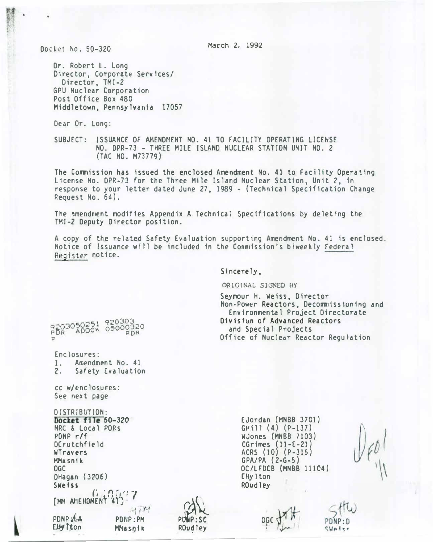March 2, 1992

Docket No. 50-320

Dr. Robert L. Long Director, Corporate Services/ Director, TMI-2 GPU Nuclear Corporation Post Office Box 480 Middletown, Pennsylvania 17057

Dear Or. Long:

SUBJECT: ISSUANCE OF AMENDMENT NO. 41 TO FACILITY OPERATING LICENSE NO. DPR-73 - THREE MILE ISLAND NUCLEAR STATION UNIT NO. 2 (TAC NO. M73779)

The Commission has issued the enclosed Amendment No. 41 to Facility Operating License No. DPR-73 for the Three Mile Island Nuclear Station, Unit 2, in response to your letter dated June 27, 1989 - (Technical Specification Change Request No. 64).

The amendment modifies Appendix A Technical Specifications by deleting the TMI-2 Deputy Director position.

A copy of the related Safety Evaluation supporting Amendment No. 41 is enclosed. Notice of Issuance will be included in the Commission's biweekly Federal Register notice.

Sincerely.

ORIGINAL SIGNED BY

Seymour H. Weiss, Director Non-Power Reactors, Decommitssioning and Environmental Project Directorate Division of Advanced Reactors and Special Projects Office of Nuclear Reactor Regulation

PDR ADOCK 05000320

Enclosures:  $1.$ Amendment No. 41

 $2.$ Safety Evaluation

cc w/enclosures: See next page

DISTRIBUTION: Docket file 50-320 NRC & Local PORS  $PONP r/f$ DCrutchfield WTravers MMasnik OGC OHagan (3206) **SWelss FMM ANEHOMEN**  $411$ PDNP:AA PDNP:PM

MMasnik

Elly I ton

ROudley

EJordan (MNBB 3701) GHill (4) (P-137) WJones (MNBB 7103) CGrimes  $(11-E-21)$ ACRS (10) (P-315)  $GPA/PA$   $(2-G-5)$ OC/LFDCB (MNBB 111C4) EHylton ROudley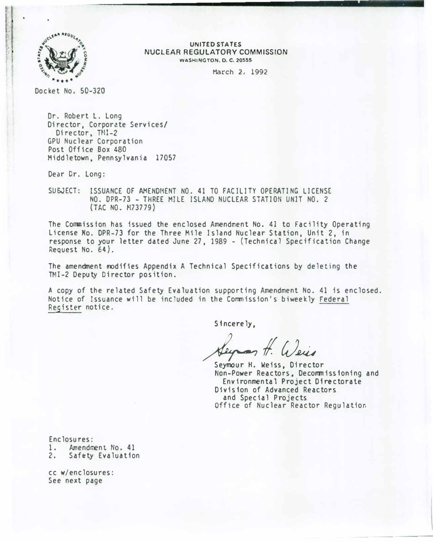

UNITED STATES NUCLEAR REGULATORY COMMISSION WASHINGTON, 0. C. 20555

March 2, 1992

Docket No. 50-320

Or. Robert L. Long Director, Corporate Services/ Director, TMI-2 GPU Nuclear Corporation Post Office Box 480 Middletown, Pennsylvania 17057

Dear Or. Long:

SUBJECT: ISSUANCE OF AMENDMENT NO. 41 TO FACILITY OPERATING LICENSE NO. OPR-73 - THREE MILE ISLAND NUCLEAR STATION UNIT NO. <sup>2</sup> (TAC NO. H73779)

The Commission has issued the enclosed Amendment No. 41 to Facility Operating License No. DPR-73 for the Three Mile Island Nuclear Station, Unit 2, in response to your letter dated June 27 , 1989 - (Technical Specification Change Request No. 64).

The amendment modifies Appendix A Technical Specificat ions by deleting the TMI-2 Deputy Director position.

A copy of the related Safety Evaluation supporting Amendment No. 41 is enclosed. Notice of Issuance will be included in the Commission's biweekly Federal Register notice.

Sincerely,

Sey not. Weis

Seymour H. Weiss, Director tlon-Power Reactors, Decommissioning and Environmental Project Directorate Division of Advanced Reactors and Special Projects Office of Nuclear Reactor Regulation

Enclosures: 1. Amendment No. 41<br>2. Safety Evaluatio Safety Evaluation

cc w/enclosures: See next page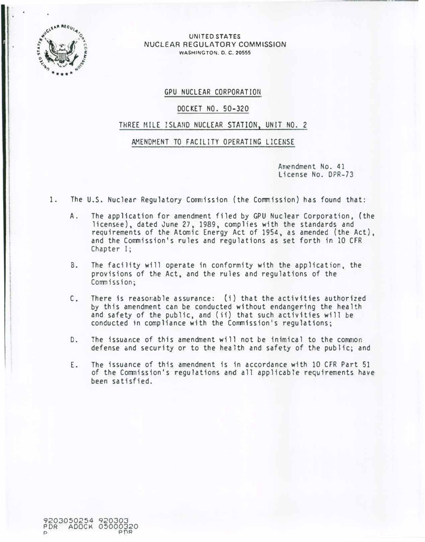

#### UNITED STATES NUCLEAR REGULATORY COMMISSION WASHINGTON. 0. C. 20555

## GPU NUCLEAR CORPORATION

# DOCKET NO. 50-320

## THREE MILE ISLAND NUCLEAR STATION, UNIT NO. 2

#### AMENDMENT TO FACILITY OPERATING LICENSE

Amendment No. 41 License No. DPR-73

- 1. The U.S. Nuclear Regulatory Commission (the Commission) has found that:
	- A. The application for amendment filed by GPU Nuclear Corporation, (the licensee), dated June 27, 1989, complies with the standards and requirements of the Atomic Energy Act of 1954, as amended (the Act). and the Commission's rules and regulations as set forth in 10 CFR Chapter I:
	- 8. The facility will operate in conformity with the application, the provisions of the Act, and the rules and regulations of the Commission:
	- C. There is reasor.able assurance: (i) that the activities authorized by this amendment can be conducted without endangering the health and safety of the public, and (if) that such activities will be conducted in compliance with the Commission's regulations;
	- D. The issuance of this amendment will not be inimical to the common defense and security or to the health and safety of the public; and
	- E. The issuance of this amendment is in accordance with 10 CFR Part 51 of the Commission's regulations and all applicable requirements have been satisfied.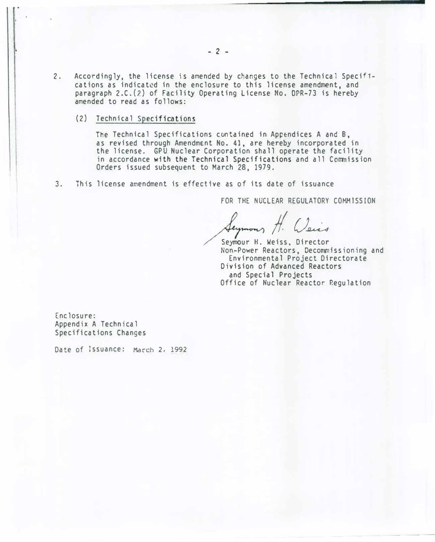- 2. Accordingly, the license is amended by changes to the Technical Speciflcations as indicated in the enclosure to this license amendment, and paragraph 2.C. (2) of Facility Operating License No. DPR-73 is hereby amended to read as follows:
	- (2) Technical Specifications

The Technical Specifications contained in Appendices A and B, as revised through Amendment No. 41, are hereby incorporated in the license. GPU Nuclear Corporation shall operate the facility in accordance with the Technical Specifications and all Commission Orders issued subsequent to March 28, 1979.

3. This license amendment is effective as of its date of issuance

FOR THE NUCLEAR REGULATORY COMMISSION

Seymones H. Weis

Seymour H. Weiss, Director Non-Power Reactors, Decommissioning and Environmental Project Directorate Division of Advanced Reactors and Special Projects Office of Nuclear Reactor Regulation

Enclosure: Appendix A Technical Specifications Changes

Date of Issuance: March 2, 1992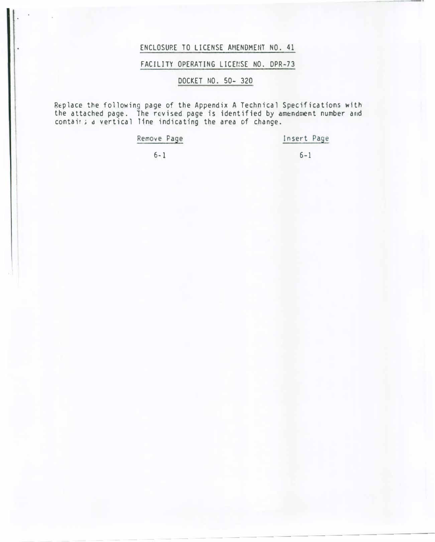# ENCLOSURE TO LICENSE AMENDMENT NO. 41

# FACILITY OPERATING LICENSE NO. DPR-73

# DOCKET NO. 50- 320

REplace the following page of the Appendix A Technical Specifications with the attached page. The revised page is identified by amendment number and contair; d vertical line indicating the area of change.

# Remove Page 1nsert Page

6-1 6-1

--- ---�--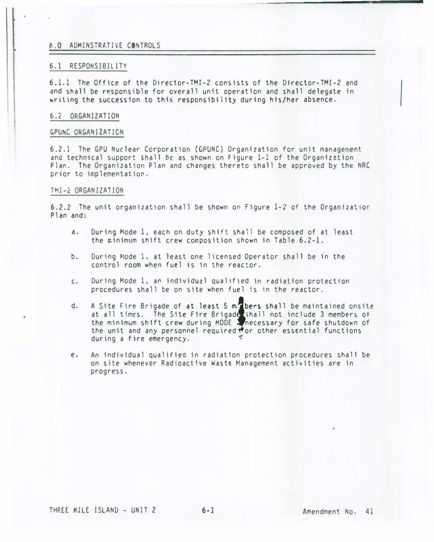#### 6.0 ADMINSTRATIVE CONTROLS

# 6.1 RESPONSIBILITY

6.1.1 The Office of the Director-TMI-2 consists of the Director-TMI-2 and and shall be respons1ble for overall unit operation and shall delegate in �riling the succession to this responsibility during his/her absence.

#### 6.2 ORGANIZATION

#### GPUNC ORGANIZATION

6.2.1 The GPU Nuclear Corporation (GPUNC) Organization for unit management and technical support shall be as shown on Figure 1-1 of the Organization Plan. The Organization Plan and changes thereto shall be approved by the NRC pr1or to implementation.

#### TMI-2 ORGANIZATION

6.2.2 The unit organization shall be shown on Figure 1-2 of the Organization Plan and:

- a. During Mode 1, each on duty shift shall be composed of at least the �inimum shift crew composition shown in Table 6.2-1.
- b. During Mode 1, at least one licensed Operator shall be in the control room when fuel is in the reactor.
- c. During Mode 1, an individual qualified in radiation protection procedures shall be on site when fuel is in the reactor.
- d. A Site Fire Brigade of at least 5 m. bers shall be maintained onsite<br>at all times. The Site Fire Brigade shall not include 3 members of<br>the minimum shift crew during MODE 2 necessary for safe shutdown of<br>the unit and any at all times. The Site Fire Brigade shall not include 3 members of the minimum shift crew during MODE  $\lambda$  necessary for safe shutdown of the unit and any personnel required  $\sqrt{r}$  or other essential functions during a fire emergency.
- e. An individual qualified in radiation protection procedures shall be on site whenever Rad1oactive Waste Management activities are in progress.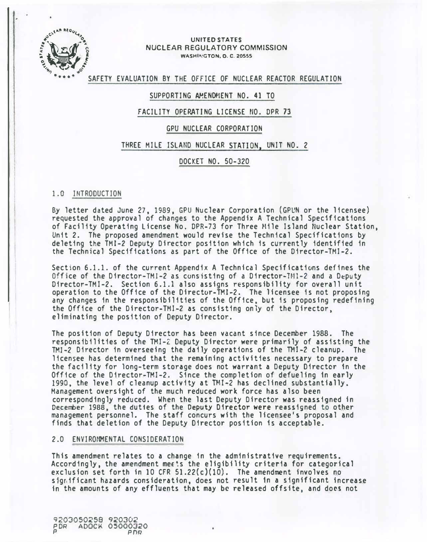

#### UNITED STATES NUCLEAR REGULATORY COMMISSION WASHINGTON, D. C. 20555

SAFETY EVALUATION BY THE OFFICE OF NUCLEAR REACTOR REGULATION

# SUPPORTING AMENDMENT NO. 41 TO

# FACILITY OPERATING LICENSE NO. DPR 73

## GPU NUCLEAR CORPORATION

#### THREE MILE ISLAND NUCLEAR STATION, UNIT NO. 2

#### DOCKET NO. 50-320

#### 1.0 INTRODUCTION

By letter dated June 27, 1989, GPU Nuclear Corporation (GPUN or the licensee) requested the approval of changes to the Appendix A Technical Specifications of Facility Operating License No. DPR-73 for Three Mile Island Nuclear Station, Unit 2. The proposed amendment would revise the Technical Specifications by deleting the TMI-2 Deputy Director position which is currently identified in the Technical Specifications as part of the Office of the Director-TMI-2.

Section 6.1.1. of the current Appendix A Technical Specifications defines the Office of the Director-TMI-2 as consisting of a Director-TMI-2 and a Deputy Director-TMI-2. Section 6.1.1 also assigns responsibility for overall unit operation to the Office of the Director-TMI-2. The licensee is not proposing any changes in the responsibilities of the Office, but is proposing redefining the Office of the Director-TMI-2 as consisting only of the Director. eliminating the position of Deputy Director.

The position of Deputy Director has been vacant since December 1988. The responsibilities of the TMI-2 Deputy Director were primarily of assisting the TMI-2 Director in overseeing the daily operations of the TMI-2 cleanup. The licensee has determined that the remaining activities necessary to prepare the facility for long-term storage does not warrant a Deputy Director in the Office of the Director-TMI-2. Since the completion of defueling in early 1990, the level of cleanup activity at TMI-2 has declined substantially. Management oversight of the much reduced work force has also been correspondingly reduced. When the last Deputy Director was reassigned in<br>December 1988, the duties of the Deputy Director were reassigned to other management personnel. The staff concurs with the licensee's proposal and finds that deletion of the Deputy Director position is acceptable.

#### 2.0 ENVIRONMENTAL CONSIDERATION

This amendment relates to a change in the administrative requirements. Accordingly, the amendment meets the eligibility criteria for categorical exclusion set forth in 10 CFR  $51.22(c)(10)$ . The amendment involves no significant hazards consideration, does not result in a significant increase in the amounts of any effluents that may be released offsite, and does not

9203050258 920302 PDR ADOCK 05000320 PDR